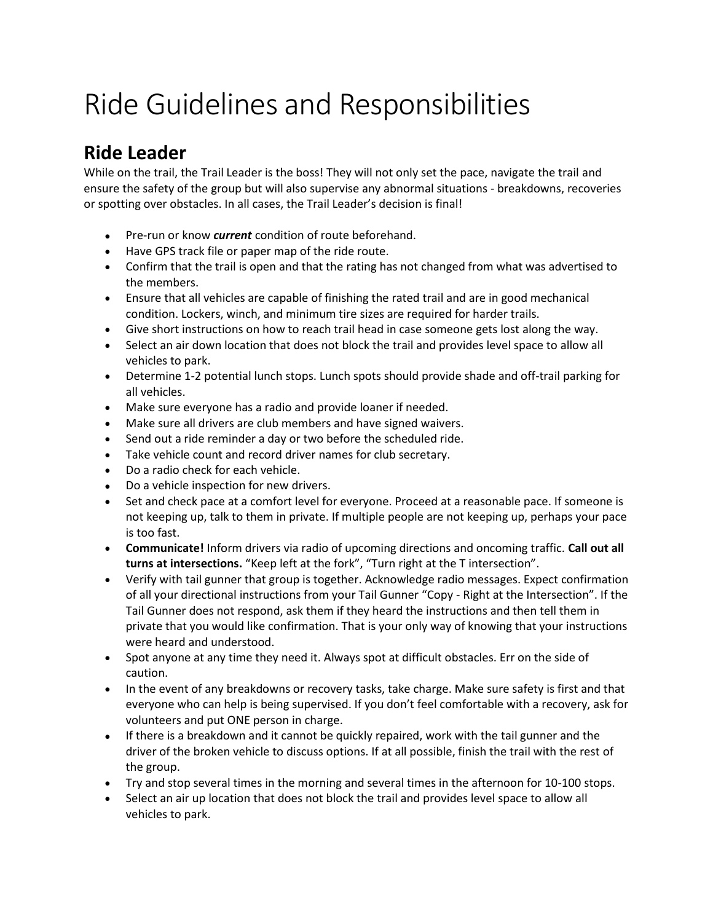## Ride Guidelines and Responsibilities

## **Ride Leader**

While on the trail, the Trail Leader is the boss! They will not only set the pace, navigate the trail and ensure the safety of the group but will also supervise any abnormal situations - breakdowns, recoveries or spotting over obstacles. In all cases, the Trail Leader's decision is final!

- Pre-run or know *current* condition of route beforehand.
- Have GPS track file or paper map of the ride route.
- Confirm that the trail is open and that the rating has not changed from what was advertised to the members.
- Ensure that all vehicles are capable of finishing the rated trail and are in good mechanical condition. Lockers, winch, and minimum tire sizes are required for harder trails.
- Give short instructions on how to reach trail head in case someone gets lost along the way.
- Select an air down location that does not block the trail and provides level space to allow all vehicles to park.
- Determine 1-2 potential lunch stops. Lunch spots should provide shade and off-trail parking for all vehicles.
- Make sure everyone has a radio and provide loaner if needed.
- Make sure all drivers are club members and have signed waivers.
- Send out a ride reminder a day or two before the scheduled ride.
- Take vehicle count and record driver names for club secretary.
- Do a radio check for each vehicle.
- Do a vehicle inspection for new drivers.
- Set and check pace at a comfort level for everyone. Proceed at a reasonable pace. If someone is not keeping up, talk to them in private. If multiple people are not keeping up, perhaps your pace is too fast.
- **Communicate!** Inform drivers via radio of upcoming directions and oncoming traffic. **Call out all turns at intersections.** "Keep left at the fork", "Turn right at the T intersection".
- Verify with tail gunner that group is together. Acknowledge radio messages. Expect confirmation of all your directional instructions from your Tail Gunner "Copy - Right at the Intersection". If the Tail Gunner does not respond, ask them if they heard the instructions and then tell them in private that you would like confirmation. That is your only way of knowing that your instructions were heard and understood.
- Spot anyone at any time they need it. Always spot at difficult obstacles. Err on the side of caution.
- In the event of any breakdowns or recovery tasks, take charge. Make sure safety is first and that everyone who can help is being supervised. If you don't feel comfortable with a recovery, ask for volunteers and put ONE person in charge.
- If there is a breakdown and it cannot be quickly repaired, work with the tail gunner and the driver of the broken vehicle to discuss options. If at all possible, finish the trail with the rest of the group.
- Try and stop several times in the morning and several times in the afternoon for 10-100 stops.
- Select an air up location that does not block the trail and provides level space to allow all vehicles to park.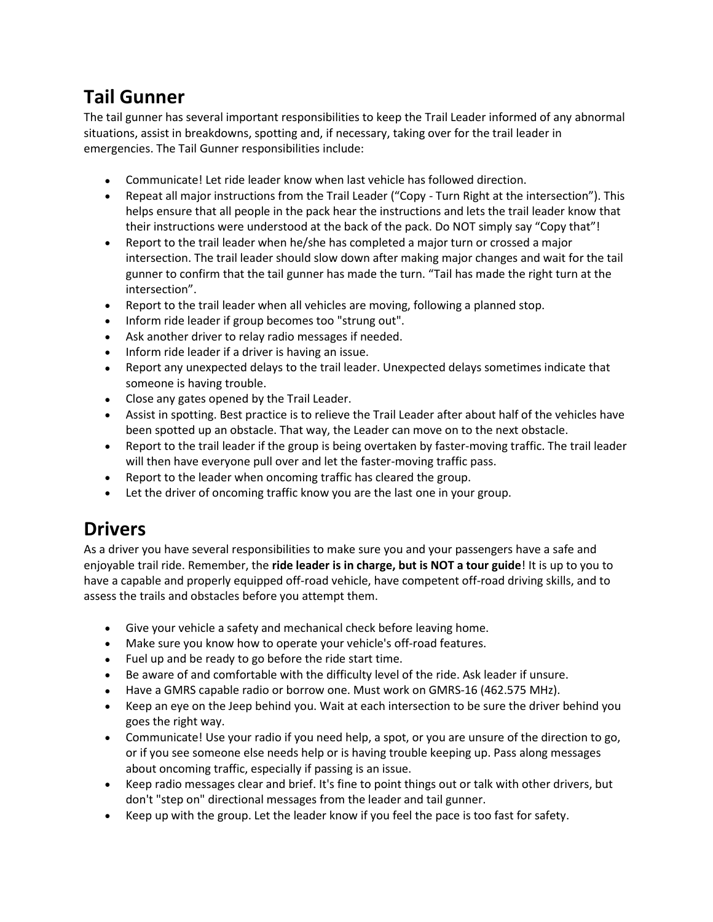## **Tail Gunner**

The tail gunner has several important responsibilities to keep the Trail Leader informed of any abnormal situations, assist in breakdowns, spotting and, if necessary, taking over for the trail leader in emergencies. The Tail Gunner responsibilities include:

- Communicate! Let ride leader know when last vehicle has followed direction.
- Repeat all major instructions from the Trail Leader ("Copy Turn Right at the intersection"). This helps ensure that all people in the pack hear the instructions and lets the trail leader know that their instructions were understood at the back of the pack. Do NOT simply say "Copy that"!
- Report to the trail leader when he/she has completed a major turn or crossed a major intersection. The trail leader should slow down after making major changes and wait for the tail gunner to confirm that the tail gunner has made the turn. "Tail has made the right turn at the intersection".
- Report to the trail leader when all vehicles are moving, following a planned stop.
- Inform ride leader if group becomes too "strung out".
- Ask another driver to relay radio messages if needed.
- Inform ride leader if a driver is having an issue.
- Report any unexpected delays to the trail leader. Unexpected delays sometimes indicate that someone is having trouble.
- Close any gates opened by the Trail Leader.
- Assist in spotting. Best practice is to relieve the Trail Leader after about half of the vehicles have been spotted up an obstacle. That way, the Leader can move on to the next obstacle.
- Report to the trail leader if the group is being overtaken by faster-moving traffic. The trail leader will then have everyone pull over and let the faster-moving traffic pass.
- Report to the leader when oncoming traffic has cleared the group.
- Let the driver of oncoming traffic know you are the last one in your group.

## **Drivers**

As a driver you have several responsibilities to make sure you and your passengers have a safe and enjoyable trail ride. Remember, the **ride leader is in charge, but is NOT a tour guide**! It is up to you to have a capable and properly equipped off-road vehicle, have competent off-road driving skills, and to assess the trails and obstacles before you attempt them.

- Give your vehicle a safety and mechanical check before leaving home.
- Make sure you know how to operate your vehicle's off-road features.
- Fuel up and be ready to go before the ride start time.
- Be aware of and comfortable with the difficulty level of the ride. Ask leader if unsure.
- Have a GMRS capable radio or borrow one. Must work on GMRS-16 (462.575 MHz).
- Keep an eye on the Jeep behind you. Wait at each intersection to be sure the driver behind you goes the right way.
- Communicate! Use your radio if you need help, a spot, or you are unsure of the direction to go, or if you see someone else needs help or is having trouble keeping up. Pass along messages about oncoming traffic, especially if passing is an issue.
- Keep radio messages clear and brief. It's fine to point things out or talk with other drivers, but don't "step on" directional messages from the leader and tail gunner.
- Keep up with the group. Let the leader know if you feel the pace is too fast for safety.